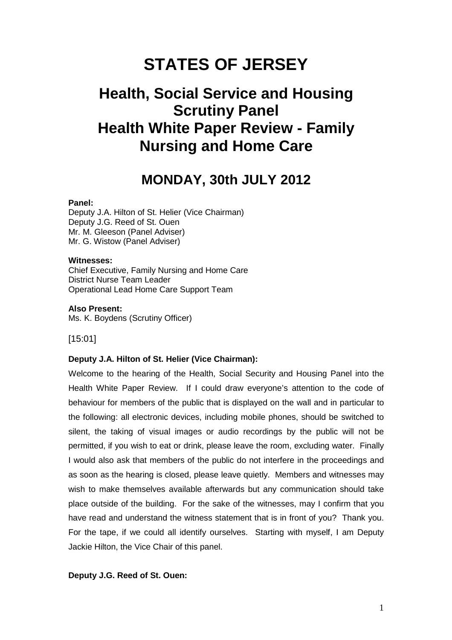# **STATES OF JERSEY**

# **Health, Social Service and Housing Scrutiny Panel Health White Paper Review - Family Nursing and Home Care**

# **MONDAY, 30th JULY 2012**

#### **Panel:**

Deputy J.A. Hilton of St. Helier (Vice Chairman) Deputy J.G. Reed of St. Ouen Mr. M. Gleeson (Panel Adviser) Mr. G. Wistow (Panel Adviser)

#### **Witnesses:**

Chief Executive, Family Nursing and Home Care District Nurse Team Leader Operational Lead Home Care Support Team

**Also Present:**  Ms. K. Boydens (Scrutiny Officer)

[15:01]

#### **Deputy J.A. Hilton of St. Helier (Vice Chairman):**

Welcome to the hearing of the Health, Social Security and Housing Panel into the Health White Paper Review. If I could draw everyone's attention to the code of behaviour for members of the public that is displayed on the wall and in particular to the following: all electronic devices, including mobile phones, should be switched to silent, the taking of visual images or audio recordings by the public will not be permitted, if you wish to eat or drink, please leave the room, excluding water. Finally I would also ask that members of the public do not interfere in the proceedings and as soon as the hearing is closed, please leave quietly. Members and witnesses may wish to make themselves available afterwards but any communication should take place outside of the building. For the sake of the witnesses, may I confirm that you have read and understand the witness statement that is in front of you? Thank you. For the tape, if we could all identify ourselves. Starting with myself, I am Deputy Jackie Hilton, the Vice Chair of this panel.

**Deputy J.G. Reed of St. Ouen:**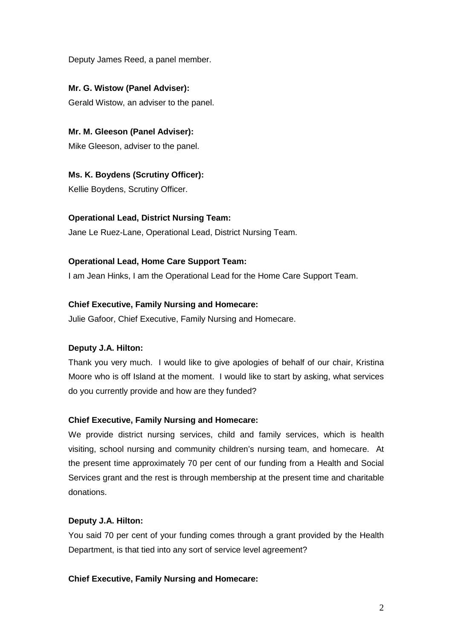Deputy James Reed, a panel member.

**Mr. G. Wistow (Panel Adviser):**  Gerald Wistow, an adviser to the panel.

**Mr. M. Gleeson (Panel Adviser):** 

Mike Gleeson, adviser to the panel.

**Ms. K. Boydens (Scrutiny Officer):** 

Kellie Boydens, Scrutiny Officer.

# **Operational Lead, District Nursing Team:**

Jane Le Ruez-Lane, Operational Lead, District Nursing Team.

# **Operational Lead, Home Care Support Team:**

I am Jean Hinks, I am the Operational Lead for the Home Care Support Team.

# **Chief Executive, Family Nursing and Homecare:**

Julie Gafoor, Chief Executive, Family Nursing and Homecare.

# **Deputy J.A. Hilton:**

Thank you very much. I would like to give apologies of behalf of our chair, Kristina Moore who is off Island at the moment. I would like to start by asking, what services do you currently provide and how are they funded?

# **Chief Executive, Family Nursing and Homecare:**

We provide district nursing services, child and family services, which is health visiting, school nursing and community children's nursing team, and homecare. At the present time approximately 70 per cent of our funding from a Health and Social Services grant and the rest is through membership at the present time and charitable donations.

# **Deputy J.A. Hilton:**

You said 70 per cent of your funding comes through a grant provided by the Health Department, is that tied into any sort of service level agreement?

# **Chief Executive, Family Nursing and Homecare:**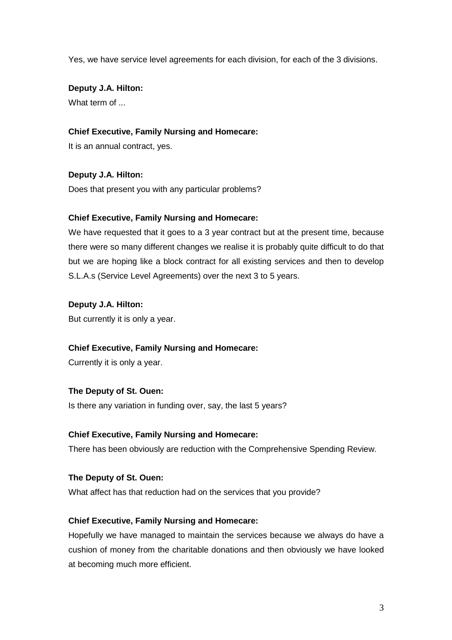Yes, we have service level agreements for each division, for each of the 3 divisions.

**Deputy J.A. Hilton:**  What term of ...

## **Chief Executive, Family Nursing and Homecare:**

It is an annual contract, yes.

#### **Deputy J.A. Hilton:**

Does that present you with any particular problems?

#### **Chief Executive, Family Nursing and Homecare:**

We have requested that it goes to a 3 year contract but at the present time, because there were so many different changes we realise it is probably quite difficult to do that but we are hoping like a block contract for all existing services and then to develop S.L.A.s (Service Level Agreements) over the next 3 to 5 years.

#### **Deputy J.A. Hilton:**

But currently it is only a year.

#### **Chief Executive, Family Nursing and Homecare:**

Currently it is only a year.

## **The Deputy of St. Ouen:**

Is there any variation in funding over, say, the last 5 years?

#### **Chief Executive, Family Nursing and Homecare:**

There has been obviously are reduction with the Comprehensive Spending Review.

#### **The Deputy of St. Ouen:**

What affect has that reduction had on the services that you provide?

#### **Chief Executive, Family Nursing and Homecare:**

Hopefully we have managed to maintain the services because we always do have a cushion of money from the charitable donations and then obviously we have looked at becoming much more efficient.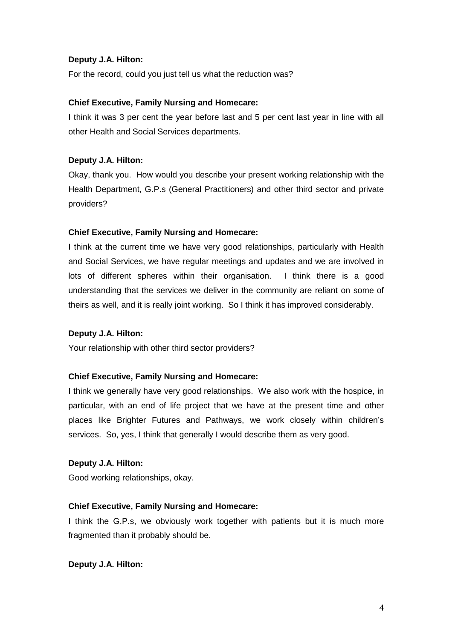## **Deputy J.A. Hilton:**

For the record, could you just tell us what the reduction was?

#### **Chief Executive, Family Nursing and Homecare:**

I think it was 3 per cent the year before last and 5 per cent last year in line with all other Health and Social Services departments.

#### **Deputy J.A. Hilton:**

Okay, thank you. How would you describe your present working relationship with the Health Department, G.P.s (General Practitioners) and other third sector and private providers?

#### **Chief Executive, Family Nursing and Homecare:**

I think at the current time we have very good relationships, particularly with Health and Social Services, we have regular meetings and updates and we are involved in lots of different spheres within their organisation. I think there is a good understanding that the services we deliver in the community are reliant on some of theirs as well, and it is really joint working. So I think it has improved considerably.

#### **Deputy J.A. Hilton:**

Your relationship with other third sector providers?

#### **Chief Executive, Family Nursing and Homecare:**

I think we generally have very good relationships. We also work with the hospice, in particular, with an end of life project that we have at the present time and other places like Brighter Futures and Pathways, we work closely within children's services. So, yes, I think that generally I would describe them as very good.

#### **Deputy J.A. Hilton:**

Good working relationships, okay.

#### **Chief Executive, Family Nursing and Homecare:**

I think the G.P.s, we obviously work together with patients but it is much more fragmented than it probably should be.

#### **Deputy J.A. Hilton:**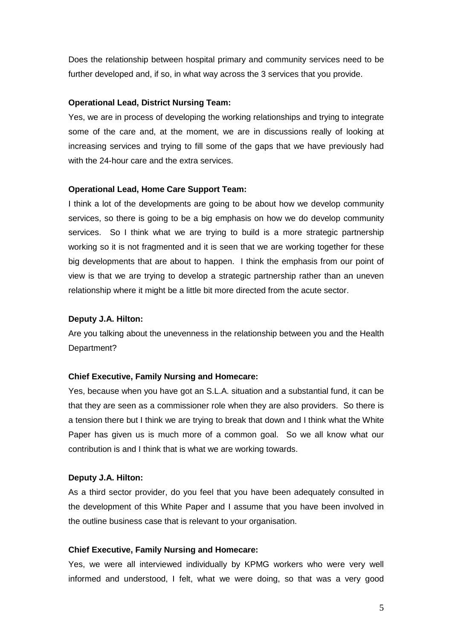Does the relationship between hospital primary and community services need to be further developed and, if so, in what way across the 3 services that you provide.

#### **Operational Lead, District Nursing Team:**

Yes, we are in process of developing the working relationships and trying to integrate some of the care and, at the moment, we are in discussions really of looking at increasing services and trying to fill some of the gaps that we have previously had with the 24-hour care and the extra services.

#### **Operational Lead, Home Care Support Team:**

I think a lot of the developments are going to be about how we develop community services, so there is going to be a big emphasis on how we do develop community services. So I think what we are trying to build is a more strategic partnership working so it is not fragmented and it is seen that we are working together for these big developments that are about to happen. I think the emphasis from our point of view is that we are trying to develop a strategic partnership rather than an uneven relationship where it might be a little bit more directed from the acute sector.

#### **Deputy J.A. Hilton:**

Are you talking about the unevenness in the relationship between you and the Health Department?

#### **Chief Executive, Family Nursing and Homecare:**

Yes, because when you have got an S.L.A. situation and a substantial fund, it can be that they are seen as a commissioner role when they are also providers. So there is a tension there but I think we are trying to break that down and I think what the White Paper has given us is much more of a common goal. So we all know what our contribution is and I think that is what we are working towards.

#### **Deputy J.A. Hilton:**

As a third sector provider, do you feel that you have been adequately consulted in the development of this White Paper and I assume that you have been involved in the outline business case that is relevant to your organisation.

#### **Chief Executive, Family Nursing and Homecare:**

Yes, we were all interviewed individually by KPMG workers who were very well informed and understood, I felt, what we were doing, so that was a very good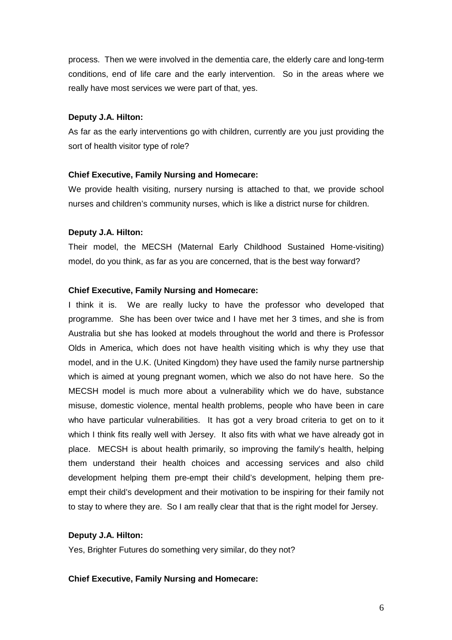process. Then we were involved in the dementia care, the elderly care and long-term conditions, end of life care and the early intervention. So in the areas where we really have most services we were part of that, yes.

#### **Deputy J.A. Hilton:**

As far as the early interventions go with children, currently are you just providing the sort of health visitor type of role?

#### **Chief Executive, Family Nursing and Homecare:**

We provide health visiting, nursery nursing is attached to that, we provide school nurses and children's community nurses, which is like a district nurse for children.

#### **Deputy J.A. Hilton:**

Their model, the MECSH (Maternal Early Childhood Sustained Home-visiting) model, do you think, as far as you are concerned, that is the best way forward?

#### **Chief Executive, Family Nursing and Homecare:**

I think it is. We are really lucky to have the professor who developed that programme. She has been over twice and I have met her 3 times, and she is from Australia but she has looked at models throughout the world and there is Professor Olds in America, which does not have health visiting which is why they use that model, and in the U.K. (United Kingdom) they have used the family nurse partnership which is aimed at young pregnant women, which we also do not have here. So the MECSH model is much more about a vulnerability which we do have, substance misuse, domestic violence, mental health problems, people who have been in care who have particular vulnerabilities. It has got a very broad criteria to get on to it which I think fits really well with Jersey. It also fits with what we have already got in place. MECSH is about health primarily, so improving the family's health, helping them understand their health choices and accessing services and also child development helping them pre-empt their child's development, helping them preempt their child's development and their motivation to be inspiring for their family not to stay to where they are. So I am really clear that that is the right model for Jersey.

#### **Deputy J.A. Hilton:**

Yes, Brighter Futures do something very similar, do they not?

**Chief Executive, Family Nursing and Homecare:**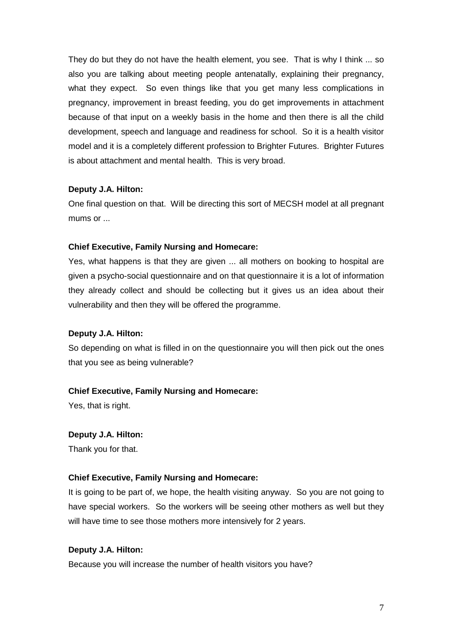They do but they do not have the health element, you see. That is why I think ... so also you are talking about meeting people antenatally, explaining their pregnancy, what they expect. So even things like that you get many less complications in pregnancy, improvement in breast feeding, you do get improvements in attachment because of that input on a weekly basis in the home and then there is all the child development, speech and language and readiness for school. So it is a health visitor model and it is a completely different profession to Brighter Futures. Brighter Futures is about attachment and mental health. This is very broad.

## **Deputy J.A. Hilton:**

One final question on that. Will be directing this sort of MECSH model at all pregnant mums or ...

#### **Chief Executive, Family Nursing and Homecare:**

Yes, what happens is that they are given ... all mothers on booking to hospital are given a psycho-social questionnaire and on that questionnaire it is a lot of information they already collect and should be collecting but it gives us an idea about their vulnerability and then they will be offered the programme.

#### **Deputy J.A. Hilton:**

So depending on what is filled in on the questionnaire you will then pick out the ones that you see as being vulnerable?

## **Chief Executive, Family Nursing and Homecare:**

Yes, that is right.

#### **Deputy J.A. Hilton:**

Thank you for that.

## **Chief Executive, Family Nursing and Homecare:**

It is going to be part of, we hope, the health visiting anyway. So you are not going to have special workers. So the workers will be seeing other mothers as well but they will have time to see those mothers more intensively for 2 years.

#### **Deputy J.A. Hilton:**

Because you will increase the number of health visitors you have?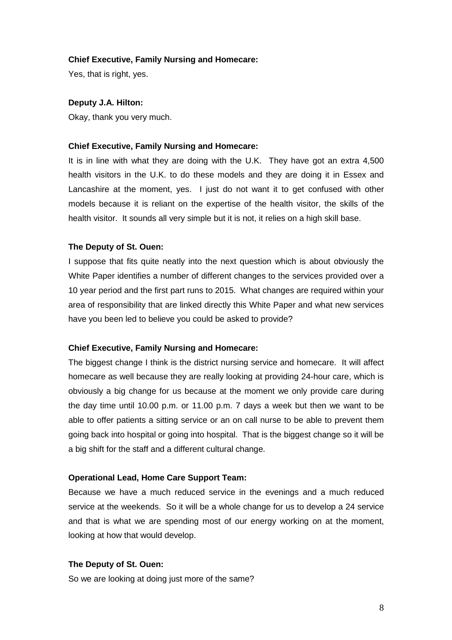#### **Chief Executive, Family Nursing and Homecare:**

Yes, that is right, yes.

#### **Deputy J.A. Hilton:**

Okay, thank you very much.

#### **Chief Executive, Family Nursing and Homecare:**

It is in line with what they are doing with the U.K. They have got an extra 4,500 health visitors in the U.K. to do these models and they are doing it in Essex and Lancashire at the moment, yes. I just do not want it to get confused with other models because it is reliant on the expertise of the health visitor, the skills of the health visitor. It sounds all very simple but it is not, it relies on a high skill base.

#### **The Deputy of St. Ouen:**

I suppose that fits quite neatly into the next question which is about obviously the White Paper identifies a number of different changes to the services provided over a 10 year period and the first part runs to 2015. What changes are required within your area of responsibility that are linked directly this White Paper and what new services have you been led to believe you could be asked to provide?

#### **Chief Executive, Family Nursing and Homecare:**

The biggest change I think is the district nursing service and homecare. It will affect homecare as well because they are really looking at providing 24-hour care, which is obviously a big change for us because at the moment we only provide care during the day time until 10.00 p.m. or 11.00 p.m. 7 days a week but then we want to be able to offer patients a sitting service or an on call nurse to be able to prevent them going back into hospital or going into hospital. That is the biggest change so it will be a big shift for the staff and a different cultural change.

#### **Operational Lead, Home Care Support Team:**

Because we have a much reduced service in the evenings and a much reduced service at the weekends. So it will be a whole change for us to develop a 24 service and that is what we are spending most of our energy working on at the moment, looking at how that would develop.

#### **The Deputy of St. Ouen:**

So we are looking at doing just more of the same?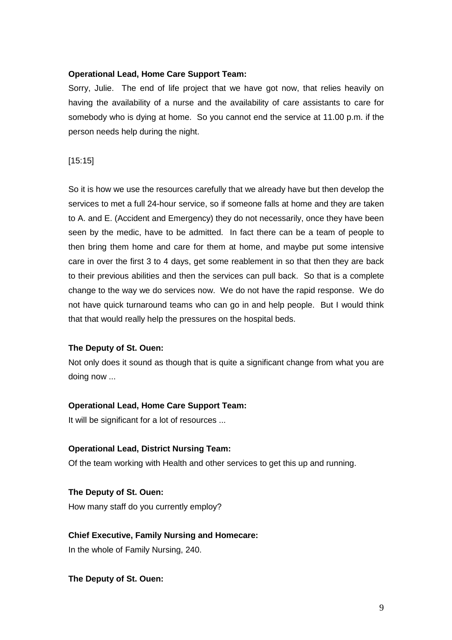## **Operational Lead, Home Care Support Team:**

Sorry, Julie. The end of life project that we have got now, that relies heavily on having the availability of a nurse and the availability of care assistants to care for somebody who is dying at home. So you cannot end the service at 11.00 p.m. if the person needs help during the night.

#### [15:15]

So it is how we use the resources carefully that we already have but then develop the services to met a full 24-hour service, so if someone falls at home and they are taken to A. and E. (Accident and Emergency) they do not necessarily, once they have been seen by the medic, have to be admitted. In fact there can be a team of people to then bring them home and care for them at home, and maybe put some intensive care in over the first 3 to 4 days, get some reablement in so that then they are back to their previous abilities and then the services can pull back. So that is a complete change to the way we do services now. We do not have the rapid response. We do not have quick turnaround teams who can go in and help people. But I would think that that would really help the pressures on the hospital beds.

#### **The Deputy of St. Ouen:**

Not only does it sound as though that is quite a significant change from what you are doing now ...

## **Operational Lead, Home Care Support Team:**

It will be significant for a lot of resources ...

## **Operational Lead, District Nursing Team:**

Of the team working with Health and other services to get this up and running.

## **The Deputy of St. Ouen:**

How many staff do you currently employ?

## **Chief Executive, Family Nursing and Homecare:**

In the whole of Family Nursing, 240.

**The Deputy of St. Ouen:**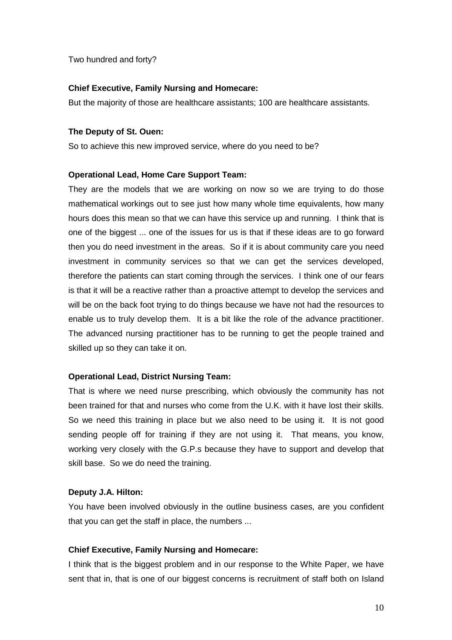Two hundred and forty?

## **Chief Executive, Family Nursing and Homecare:**

But the majority of those are healthcare assistants; 100 are healthcare assistants.

## **The Deputy of St. Ouen:**

So to achieve this new improved service, where do you need to be?

#### **Operational Lead, Home Care Support Team:**

They are the models that we are working on now so we are trying to do those mathematical workings out to see just how many whole time equivalents, how many hours does this mean so that we can have this service up and running. I think that is one of the biggest ... one of the issues for us is that if these ideas are to go forward then you do need investment in the areas. So if it is about community care you need investment in community services so that we can get the services developed, therefore the patients can start coming through the services. I think one of our fears is that it will be a reactive rather than a proactive attempt to develop the services and will be on the back foot trying to do things because we have not had the resources to enable us to truly develop them. It is a bit like the role of the advance practitioner. The advanced nursing practitioner has to be running to get the people trained and skilled up so they can take it on.

## **Operational Lead, District Nursing Team:**

That is where we need nurse prescribing, which obviously the community has not been trained for that and nurses who come from the U.K. with it have lost their skills. So we need this training in place but we also need to be using it. It is not good sending people off for training if they are not using it. That means, you know, working very closely with the G.P.s because they have to support and develop that skill base. So we do need the training.

## **Deputy J.A. Hilton:**

You have been involved obviously in the outline business cases, are you confident that you can get the staff in place, the numbers ...

#### **Chief Executive, Family Nursing and Homecare:**

I think that is the biggest problem and in our response to the White Paper, we have sent that in, that is one of our biggest concerns is recruitment of staff both on Island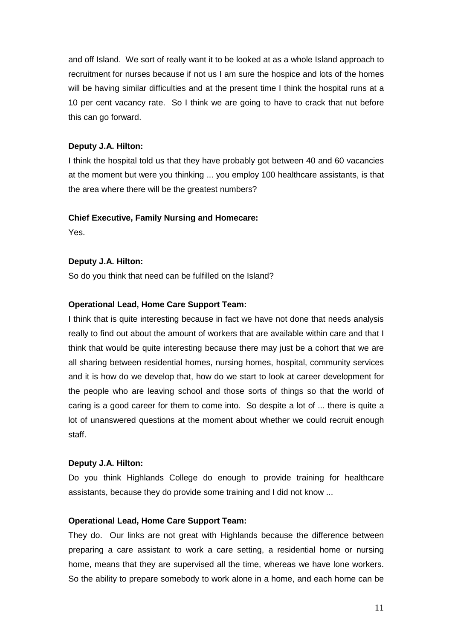and off Island. We sort of really want it to be looked at as a whole Island approach to recruitment for nurses because if not us I am sure the hospice and lots of the homes will be having similar difficulties and at the present time I think the hospital runs at a 10 per cent vacancy rate. So I think we are going to have to crack that nut before this can go forward.

## **Deputy J.A. Hilton:**

I think the hospital told us that they have probably got between 40 and 60 vacancies at the moment but were you thinking ... you employ 100 healthcare assistants, is that the area where there will be the greatest numbers?

#### **Chief Executive, Family Nursing and Homecare:**

Yes.

#### **Deputy J.A. Hilton:**

So do you think that need can be fulfilled on the Island?

#### **Operational Lead, Home Care Support Team:**

I think that is quite interesting because in fact we have not done that needs analysis really to find out about the amount of workers that are available within care and that I think that would be quite interesting because there may just be a cohort that we are all sharing between residential homes, nursing homes, hospital, community services and it is how do we develop that, how do we start to look at career development for the people who are leaving school and those sorts of things so that the world of caring is a good career for them to come into. So despite a lot of ... there is quite a lot of unanswered questions at the moment about whether we could recruit enough staff.

#### **Deputy J.A. Hilton:**

Do you think Highlands College do enough to provide training for healthcare assistants, because they do provide some training and I did not know ...

#### **Operational Lead, Home Care Support Team:**

They do. Our links are not great with Highlands because the difference between preparing a care assistant to work a care setting, a residential home or nursing home, means that they are supervised all the time, whereas we have lone workers. So the ability to prepare somebody to work alone in a home, and each home can be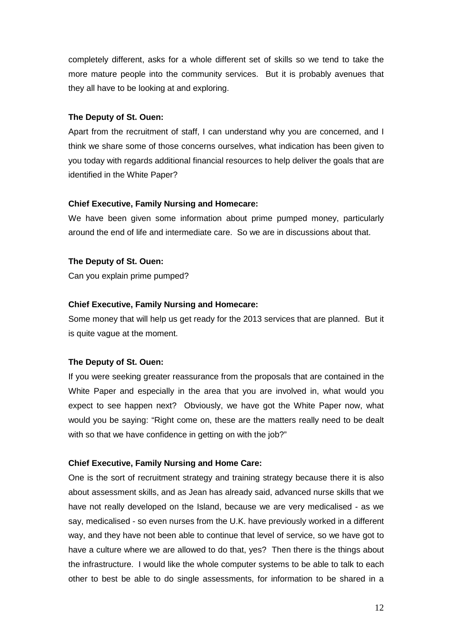completely different, asks for a whole different set of skills so we tend to take the more mature people into the community services. But it is probably avenues that they all have to be looking at and exploring.

## **The Deputy of St. Ouen:**

Apart from the recruitment of staff, I can understand why you are concerned, and I think we share some of those concerns ourselves, what indication has been given to you today with regards additional financial resources to help deliver the goals that are identified in the White Paper?

## **Chief Executive, Family Nursing and Homecare:**

We have been given some information about prime pumped money, particularly around the end of life and intermediate care. So we are in discussions about that.

## **The Deputy of St. Ouen:**

Can you explain prime pumped?

## **Chief Executive, Family Nursing and Homecare:**

Some money that will help us get ready for the 2013 services that are planned. But it is quite vague at the moment.

## **The Deputy of St. Ouen:**

If you were seeking greater reassurance from the proposals that are contained in the White Paper and especially in the area that you are involved in, what would you expect to see happen next? Obviously, we have got the White Paper now, what would you be saying: "Right come on, these are the matters really need to be dealt with so that we have confidence in getting on with the job?"

## **Chief Executive, Family Nursing and Home Care:**

One is the sort of recruitment strategy and training strategy because there it is also about assessment skills, and as Jean has already said, advanced nurse skills that we have not really developed on the Island, because we are very medicalised - as we say, medicalised - so even nurses from the U.K. have previously worked in a different way, and they have not been able to continue that level of service, so we have got to have a culture where we are allowed to do that, yes? Then there is the things about the infrastructure. I would like the whole computer systems to be able to talk to each other to best be able to do single assessments, for information to be shared in a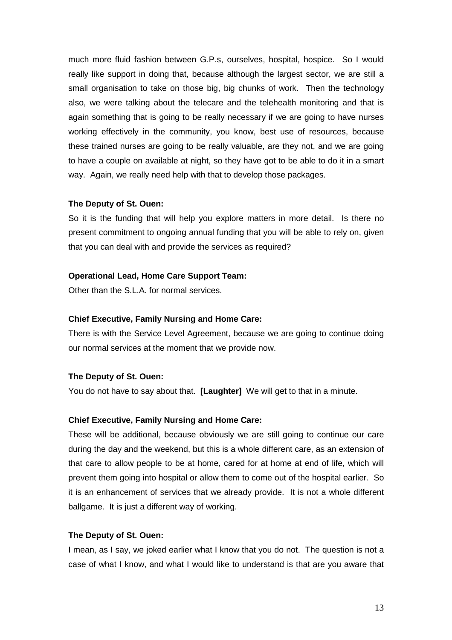much more fluid fashion between G.P.s, ourselves, hospital, hospice. So I would really like support in doing that, because although the largest sector, we are still a small organisation to take on those big, big chunks of work. Then the technology also, we were talking about the telecare and the telehealth monitoring and that is again something that is going to be really necessary if we are going to have nurses working effectively in the community, you know, best use of resources, because these trained nurses are going to be really valuable, are they not, and we are going to have a couple on available at night, so they have got to be able to do it in a smart way. Again, we really need help with that to develop those packages.

#### **The Deputy of St. Ouen:**

So it is the funding that will help you explore matters in more detail. Is there no present commitment to ongoing annual funding that you will be able to rely on, given that you can deal with and provide the services as required?

#### **Operational Lead, Home Care Support Team:**

Other than the S.L.A. for normal services.

#### **Chief Executive, Family Nursing and Home Care:**

There is with the Service Level Agreement, because we are going to continue doing our normal services at the moment that we provide now.

#### **The Deputy of St. Ouen:**

You do not have to say about that. **[Laughter]** We will get to that in a minute.

#### **Chief Executive, Family Nursing and Home Care:**

These will be additional, because obviously we are still going to continue our care during the day and the weekend, but this is a whole different care, as an extension of that care to allow people to be at home, cared for at home at end of life, which will prevent them going into hospital or allow them to come out of the hospital earlier. So it is an enhancement of services that we already provide. It is not a whole different ballgame. It is just a different way of working.

#### **The Deputy of St. Ouen:**

I mean, as I say, we joked earlier what I know that you do not. The question is not a case of what I know, and what I would like to understand is that are you aware that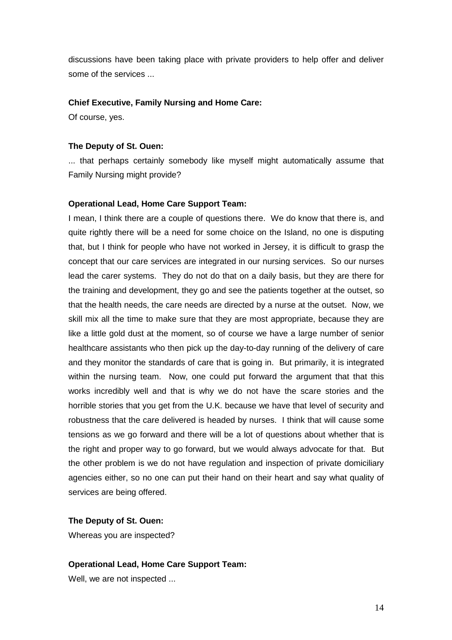discussions have been taking place with private providers to help offer and deliver some of the services ...

#### **Chief Executive, Family Nursing and Home Care:**

Of course, yes.

#### **The Deputy of St. Ouen:**

... that perhaps certainly somebody like myself might automatically assume that Family Nursing might provide?

#### **Operational Lead, Home Care Support Team:**

I mean, I think there are a couple of questions there. We do know that there is, and quite rightly there will be a need for some choice on the Island, no one is disputing that, but I think for people who have not worked in Jersey, it is difficult to grasp the concept that our care services are integrated in our nursing services. So our nurses lead the carer systems. They do not do that on a daily basis, but they are there for the training and development, they go and see the patients together at the outset, so that the health needs, the care needs are directed by a nurse at the outset. Now, we skill mix all the time to make sure that they are most appropriate, because they are like a little gold dust at the moment, so of course we have a large number of senior healthcare assistants who then pick up the day-to-day running of the delivery of care and they monitor the standards of care that is going in. But primarily, it is integrated within the nursing team. Now, one could put forward the argument that that this works incredibly well and that is why we do not have the scare stories and the horrible stories that you get from the U.K. because we have that level of security and robustness that the care delivered is headed by nurses. I think that will cause some tensions as we go forward and there will be a lot of questions about whether that is the right and proper way to go forward, but we would always advocate for that. But the other problem is we do not have regulation and inspection of private domiciliary agencies either, so no one can put their hand on their heart and say what quality of services are being offered.

#### **The Deputy of St. Ouen:**

Whereas you are inspected?

# **Operational Lead, Home Care Support Team:**

Well, we are not inspected ...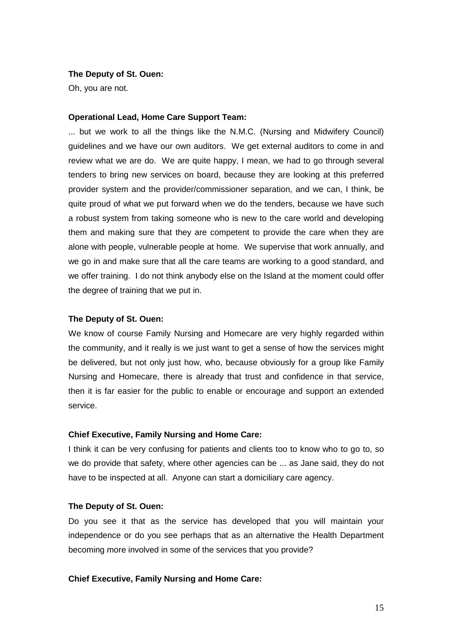#### **The Deputy of St. Ouen:**

Oh, you are not.

#### **Operational Lead, Home Care Support Team:**

... but we work to all the things like the N.M.C. (Nursing and Midwifery Council) guidelines and we have our own auditors. We get external auditors to come in and review what we are do. We are quite happy, I mean, we had to go through several tenders to bring new services on board, because they are looking at this preferred provider system and the provider/commissioner separation, and we can, I think, be quite proud of what we put forward when we do the tenders, because we have such a robust system from taking someone who is new to the care world and developing them and making sure that they are competent to provide the care when they are alone with people, vulnerable people at home. We supervise that work annually, and we go in and make sure that all the care teams are working to a good standard, and we offer training. I do not think anybody else on the Island at the moment could offer the degree of training that we put in.

#### **The Deputy of St. Ouen:**

We know of course Family Nursing and Homecare are very highly regarded within the community, and it really is we just want to get a sense of how the services might be delivered, but not only just how, who, because obviously for a group like Family Nursing and Homecare, there is already that trust and confidence in that service, then it is far easier for the public to enable or encourage and support an extended service.

#### **Chief Executive, Family Nursing and Home Care:**

I think it can be very confusing for patients and clients too to know who to go to, so we do provide that safety, where other agencies can be ... as Jane said, they do not have to be inspected at all. Anyone can start a domiciliary care agency.

#### **The Deputy of St. Ouen:**

Do you see it that as the service has developed that you will maintain your independence or do you see perhaps that as an alternative the Health Department becoming more involved in some of the services that you provide?

#### **Chief Executive, Family Nursing and Home Care:**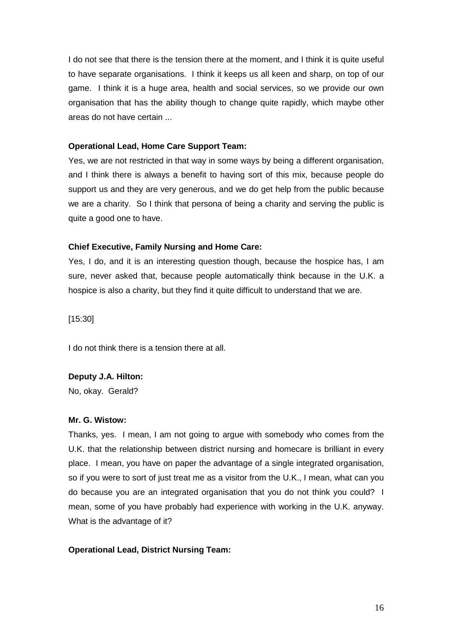I do not see that there is the tension there at the moment, and I think it is quite useful to have separate organisations. I think it keeps us all keen and sharp, on top of our game. I think it is a huge area, health and social services, so we provide our own organisation that has the ability though to change quite rapidly, which maybe other areas do not have certain ...

## **Operational Lead, Home Care Support Team:**

Yes, we are not restricted in that way in some ways by being a different organisation, and I think there is always a benefit to having sort of this mix, because people do support us and they are very generous, and we do get help from the public because we are a charity. So I think that persona of being a charity and serving the public is quite a good one to have.

## **Chief Executive, Family Nursing and Home Care:**

Yes, I do, and it is an interesting question though, because the hospice has, I am sure, never asked that, because people automatically think because in the U.K. a hospice is also a charity, but they find it quite difficult to understand that we are.

[15:30]

I do not think there is a tension there at all.

#### **Deputy J.A. Hilton:**

No, okay. Gerald?

#### **Mr. G. Wistow:**

Thanks, yes. I mean, I am not going to argue with somebody who comes from the U.K. that the relationship between district nursing and homecare is brilliant in every place. I mean, you have on paper the advantage of a single integrated organisation, so if you were to sort of just treat me as a visitor from the U.K., I mean, what can you do because you are an integrated organisation that you do not think you could? I mean, some of you have probably had experience with working in the U.K. anyway. What is the advantage of it?

## **Operational Lead, District Nursing Team:**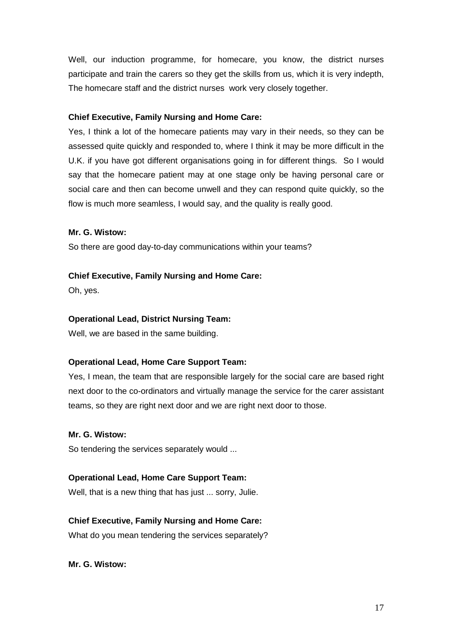Well, our induction programme, for homecare, you know, the district nurses participate and train the carers so they get the skills from us, which it is very indepth, The homecare staff and the district nurses work very closely together.

## **Chief Executive, Family Nursing and Home Care:**

Yes, I think a lot of the homecare patients may vary in their needs, so they can be assessed quite quickly and responded to, where I think it may be more difficult in the U.K. if you have got different organisations going in for different things. So I would say that the homecare patient may at one stage only be having personal care or social care and then can become unwell and they can respond quite quickly, so the flow is much more seamless, I would say, and the quality is really good.

# **Mr. G. Wistow:**

So there are good day-to-day communications within your teams?

# **Chief Executive, Family Nursing and Home Care:**

Oh, yes.

# **Operational Lead, District Nursing Team:**

Well, we are based in the same building.

# **Operational Lead, Home Care Support Team:**

Yes, I mean, the team that are responsible largely for the social care are based right next door to the co-ordinators and virtually manage the service for the carer assistant teams, so they are right next door and we are right next door to those.

## **Mr. G. Wistow:**

So tendering the services separately would ...

# **Operational Lead, Home Care Support Team:**

Well, that is a new thing that has just ... sorry, Julie.

# **Chief Executive, Family Nursing and Home Care:**

What do you mean tendering the services separately?

**Mr. G. Wistow:**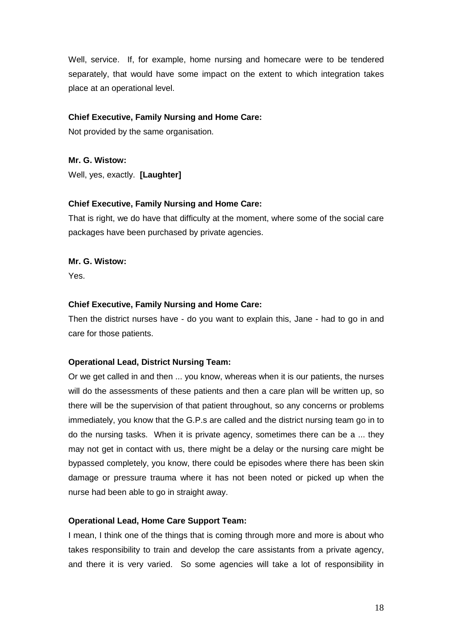Well, service. If, for example, home nursing and homecare were to be tendered separately, that would have some impact on the extent to which integration takes place at an operational level.

## **Chief Executive, Family Nursing and Home Care:**

Not provided by the same organisation.

**Mr. G. Wistow:** Well, yes, exactly. **[Laughter]** 

# **Chief Executive, Family Nursing and Home Care:**

That is right, we do have that difficulty at the moment, where some of the social care packages have been purchased by private agencies.

**Mr. G. Wistow:**

Yes.

# **Chief Executive, Family Nursing and Home Care:**

Then the district nurses have - do you want to explain this, Jane - had to go in and care for those patients.

# **Operational Lead, District Nursing Team:**

Or we get called in and then ... you know, whereas when it is our patients, the nurses will do the assessments of these patients and then a care plan will be written up, so there will be the supervision of that patient throughout, so any concerns or problems immediately, you know that the G.P.s are called and the district nursing team go in to do the nursing tasks. When it is private agency, sometimes there can be a ... they may not get in contact with us, there might be a delay or the nursing care might be bypassed completely, you know, there could be episodes where there has been skin damage or pressure trauma where it has not been noted or picked up when the nurse had been able to go in straight away.

## **Operational Lead, Home Care Support Team:**

I mean, I think one of the things that is coming through more and more is about who takes responsibility to train and develop the care assistants from a private agency, and there it is very varied. So some agencies will take a lot of responsibility in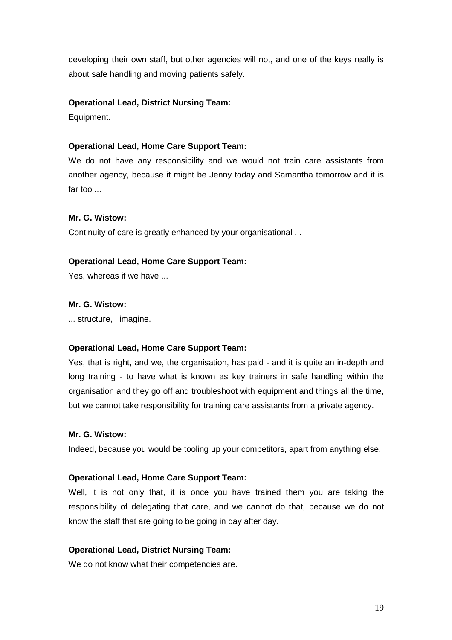developing their own staff, but other agencies will not, and one of the keys really is about safe handling and moving patients safely.

## **Operational Lead, District Nursing Team:**

Equipment.

# **Operational Lead, Home Care Support Team:**

We do not have any responsibility and we would not train care assistants from another agency, because it might be Jenny today and Samantha tomorrow and it is far too ...

## **Mr. G. Wistow:**

Continuity of care is greatly enhanced by your organisational ...

# **Operational Lead, Home Care Support Team:**

Yes, whereas if we have ...

## **Mr. G. Wistow:**

... structure, I imagine.

## **Operational Lead, Home Care Support Team:**

Yes, that is right, and we, the organisation, has paid - and it is quite an in-depth and long training - to have what is known as key trainers in safe handling within the organisation and they go off and troubleshoot with equipment and things all the time, but we cannot take responsibility for training care assistants from a private agency.

## **Mr. G. Wistow:**

Indeed, because you would be tooling up your competitors, apart from anything else.

## **Operational Lead, Home Care Support Team:**

Well, it is not only that, it is once you have trained them you are taking the responsibility of delegating that care, and we cannot do that, because we do not know the staff that are going to be going in day after day.

## **Operational Lead, District Nursing Team:**

We do not know what their competencies are.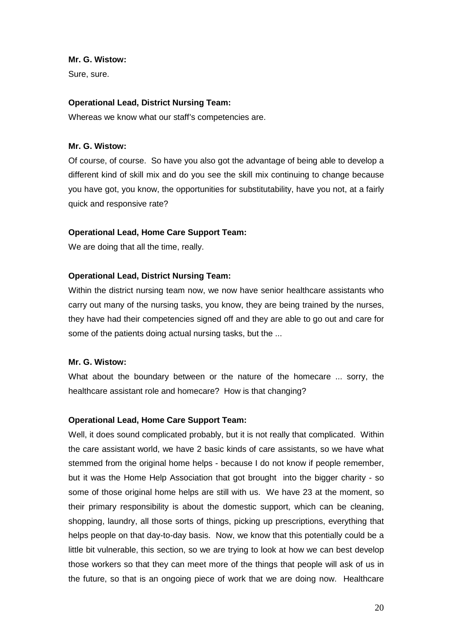## **Mr. G. Wistow:**

Sure, sure.

# **Operational Lead, District Nursing Team:**

Whereas we know what our staff's competencies are.

## **Mr. G. Wistow:**

Of course, of course. So have you also got the advantage of being able to develop a different kind of skill mix and do you see the skill mix continuing to change because you have got, you know, the opportunities for substitutability, have you not, at a fairly quick and responsive rate?

## **Operational Lead, Home Care Support Team:**

We are doing that all the time, really.

## **Operational Lead, District Nursing Team:**

Within the district nursing team now, we now have senior healthcare assistants who carry out many of the nursing tasks, you know, they are being trained by the nurses, they have had their competencies signed off and they are able to go out and care for some of the patients doing actual nursing tasks, but the ...

## **Mr. G. Wistow:**

What about the boundary between or the nature of the homecare ... sorry, the healthcare assistant role and homecare? How is that changing?

## **Operational Lead, Home Care Support Team:**

Well, it does sound complicated probably, but it is not really that complicated. Within the care assistant world, we have 2 basic kinds of care assistants, so we have what stemmed from the original home helps - because I do not know if people remember, but it was the Home Help Association that got brought into the bigger charity - so some of those original home helps are still with us. We have 23 at the moment, so their primary responsibility is about the domestic support, which can be cleaning, shopping, laundry, all those sorts of things, picking up prescriptions, everything that helps people on that day-to-day basis. Now, we know that this potentially could be a little bit vulnerable, this section, so we are trying to look at how we can best develop those workers so that they can meet more of the things that people will ask of us in the future, so that is an ongoing piece of work that we are doing now. Healthcare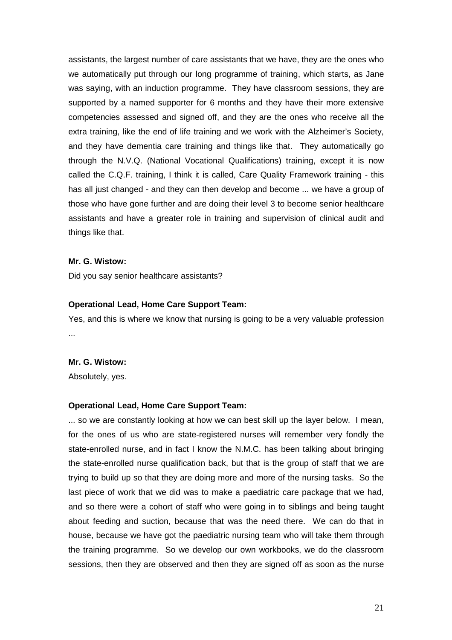assistants, the largest number of care assistants that we have, they are the ones who we automatically put through our long programme of training, which starts, as Jane was saying, with an induction programme. They have classroom sessions, they are supported by a named supporter for 6 months and they have their more extensive competencies assessed and signed off, and they are the ones who receive all the extra training, like the end of life training and we work with the Alzheimer's Society, and they have dementia care training and things like that. They automatically go through the N.V.Q. (National Vocational Qualifications) training, except it is now called the C.Q.F. training, I think it is called, Care Quality Framework training - this has all just changed - and they can then develop and become ... we have a group of those who have gone further and are doing their level 3 to become senior healthcare assistants and have a greater role in training and supervision of clinical audit and things like that.

#### **Mr. G. Wistow:**

Did you say senior healthcare assistants?

#### **Operational Lead, Home Care Support Team:**

Yes, and this is where we know that nursing is going to be a very valuable profession ...

#### **Mr. G. Wistow:**

Absolutely, yes.

#### **Operational Lead, Home Care Support Team:**

... so we are constantly looking at how we can best skill up the layer below. I mean, for the ones of us who are state-registered nurses will remember very fondly the state-enrolled nurse, and in fact I know the N.M.C. has been talking about bringing the state-enrolled nurse qualification back, but that is the group of staff that we are trying to build up so that they are doing more and more of the nursing tasks. So the last piece of work that we did was to make a paediatric care package that we had, and so there were a cohort of staff who were going in to siblings and being taught about feeding and suction, because that was the need there. We can do that in house, because we have got the paediatric nursing team who will take them through the training programme. So we develop our own workbooks, we do the classroom sessions, then they are observed and then they are signed off as soon as the nurse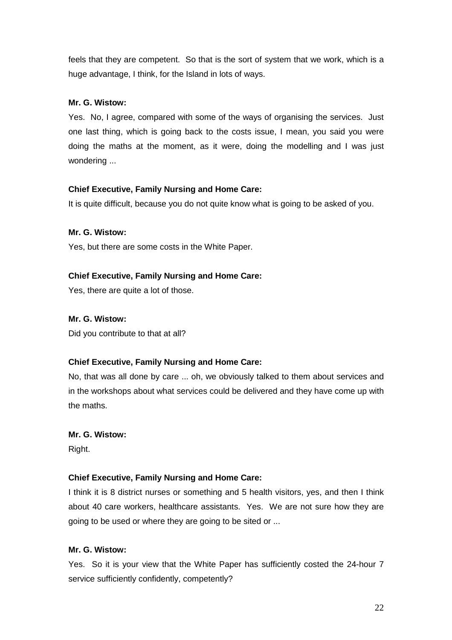feels that they are competent. So that is the sort of system that we work, which is a huge advantage, I think, for the Island in lots of ways.

## **Mr. G. Wistow:**

Yes. No, I agree, compared with some of the ways of organising the services. Just one last thing, which is going back to the costs issue, I mean, you said you were doing the maths at the moment, as it were, doing the modelling and I was just wondering ...

#### **Chief Executive, Family Nursing and Home Care:**

It is quite difficult, because you do not quite know what is going to be asked of you.

#### **Mr. G. Wistow:**

Yes, but there are some costs in the White Paper.

## **Chief Executive, Family Nursing and Home Care:**

Yes, there are quite a lot of those.

#### **Mr. G. Wistow:**

Did you contribute to that at all?

## **Chief Executive, Family Nursing and Home Care:**

No, that was all done by care ... oh, we obviously talked to them about services and in the workshops about what services could be delivered and they have come up with the maths.

#### **Mr. G. Wistow:**

Right.

#### **Chief Executive, Family Nursing and Home Care:**

I think it is 8 district nurses or something and 5 health visitors, yes, and then I think about 40 care workers, healthcare assistants. Yes. We are not sure how they are going to be used or where they are going to be sited or ...

## **Mr. G. Wistow:**

Yes. So it is your view that the White Paper has sufficiently costed the 24-hour 7 service sufficiently confidently, competently?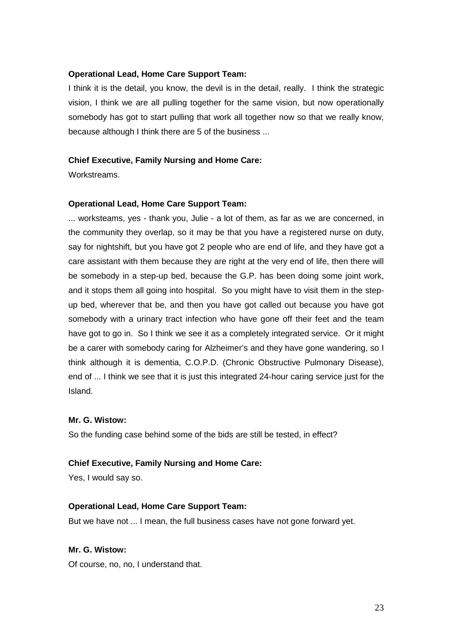#### **Operational Lead, Home Care Support Team:**

I think it is the detail, you know, the devil is in the detail, really. I think the strategic vision, I think we are all pulling together for the same vision, but now operationally somebody has got to start pulling that work all together now so that we really know, because although I think there are 5 of the business ...

#### **Chief Executive, Family Nursing and Home Care:**

Workstreams.

#### **Operational Lead, Home Care Support Team:**

... worksteams, yes - thank you, Julie - a lot of them, as far as we are concerned, in the community they overlap, so it may be that you have a registered nurse on duty, say for nightshift, but you have got 2 people who are end of life, and they have got a care assistant with them because they are right at the very end of life, then there will be somebody in a step-up bed, because the G.P. has been doing some joint work, and it stops them all going into hospital. So you might have to visit them in the stepup bed, wherever that be, and then you have got called out because you have got somebody with a urinary tract infection who have gone off their feet and the team have got to go in. So I think we see it as a completely integrated service. Or it might be a carer with somebody caring for Alzheimer's and they have gone wandering, so I think although it is dementia, C.O.P.D. (Chronic Obstructive Pulmonary Disease), end of ... I think we see that it is just this integrated 24-hour caring service just for the Island.

#### **Mr. G. Wistow:**

So the funding case behind some of the bids are still be tested, in effect?

## **Chief Executive, Family Nursing and Home Care:**

Yes, I would say so.

## **Operational Lead, Home Care Support Team:**

But we have not ... I mean, the full business cases have not gone forward yet.

## **Mr. G. Wistow:**

Of course, no, no, I understand that.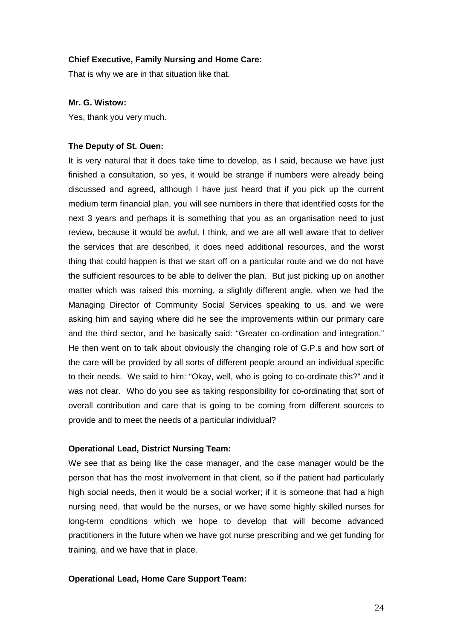#### **Chief Executive, Family Nursing and Home Care:**

That is why we are in that situation like that.

#### **Mr. G. Wistow:**

Yes, thank you very much.

#### **The Deputy of St. Ouen:**

It is very natural that it does take time to develop, as I said, because we have just finished a consultation, so yes, it would be strange if numbers were already being discussed and agreed, although I have just heard that if you pick up the current medium term financial plan, you will see numbers in there that identified costs for the next 3 years and perhaps it is something that you as an organisation need to just review, because it would be awful, I think, and we are all well aware that to deliver the services that are described, it does need additional resources, and the worst thing that could happen is that we start off on a particular route and we do not have the sufficient resources to be able to deliver the plan. But just picking up on another matter which was raised this morning, a slightly different angle, when we had the Managing Director of Community Social Services speaking to us, and we were asking him and saying where did he see the improvements within our primary care and the third sector, and he basically said: "Greater co-ordination and integration." He then went on to talk about obviously the changing role of G.P.s and how sort of the care will be provided by all sorts of different people around an individual specific to their needs. We said to him: "Okay, well, who is going to co-ordinate this?" and it was not clear. Who do you see as taking responsibility for co-ordinating that sort of overall contribution and care that is going to be coming from different sources to provide and to meet the needs of a particular individual?

#### **Operational Lead, District Nursing Team:**

We see that as being like the case manager, and the case manager would be the person that has the most involvement in that client, so if the patient had particularly high social needs, then it would be a social worker; if it is someone that had a high nursing need, that would be the nurses, or we have some highly skilled nurses for long-term conditions which we hope to develop that will become advanced practitioners in the future when we have got nurse prescribing and we get funding for training, and we have that in place.

#### **Operational Lead, Home Care Support Team:**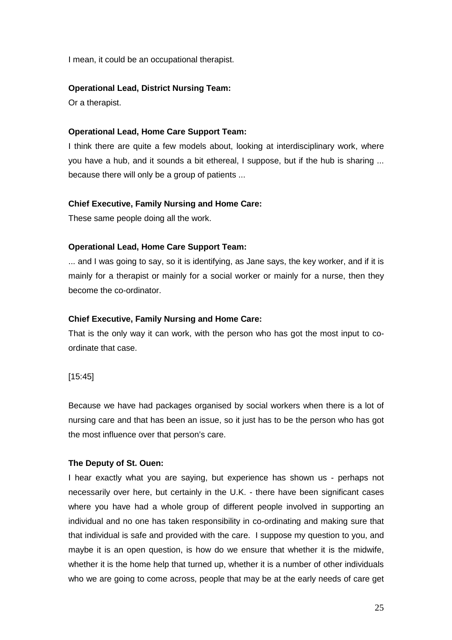I mean, it could be an occupational therapist.

#### **Operational Lead, District Nursing Team:**

Or a therapist.

#### **Operational Lead, Home Care Support Team:**

I think there are quite a few models about, looking at interdisciplinary work, where you have a hub, and it sounds a bit ethereal, I suppose, but if the hub is sharing ... because there will only be a group of patients ...

#### **Chief Executive, Family Nursing and Home Care:**

These same people doing all the work.

#### **Operational Lead, Home Care Support Team:**

... and I was going to say, so it is identifying, as Jane says, the key worker, and if it is mainly for a therapist or mainly for a social worker or mainly for a nurse, then they become the co-ordinator.

#### **Chief Executive, Family Nursing and Home Care:**

That is the only way it can work, with the person who has got the most input to coordinate that case.

#### [15:45]

Because we have had packages organised by social workers when there is a lot of nursing care and that has been an issue, so it just has to be the person who has got the most influence over that person's care.

#### **The Deputy of St. Ouen:**

I hear exactly what you are saying, but experience has shown us - perhaps not necessarily over here, but certainly in the U.K. - there have been significant cases where you have had a whole group of different people involved in supporting an individual and no one has taken responsibility in co-ordinating and making sure that that individual is safe and provided with the care. I suppose my question to you, and maybe it is an open question, is how do we ensure that whether it is the midwife, whether it is the home help that turned up, whether it is a number of other individuals who we are going to come across, people that may be at the early needs of care get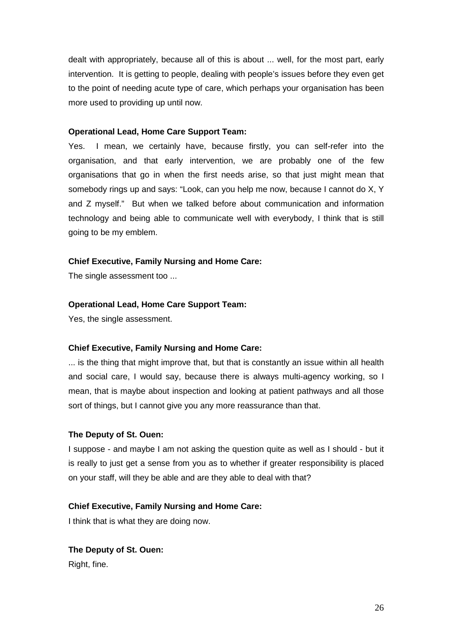dealt with appropriately, because all of this is about ... well, for the most part, early intervention. It is getting to people, dealing with people's issues before they even get to the point of needing acute type of care, which perhaps your organisation has been more used to providing up until now.

#### **Operational Lead, Home Care Support Team:**

Yes. I mean, we certainly have, because firstly, you can self-refer into the organisation, and that early intervention, we are probably one of the few organisations that go in when the first needs arise, so that just might mean that somebody rings up and says: "Look, can you help me now, because I cannot do X, Y and Z myself." But when we talked before about communication and information technology and being able to communicate well with everybody, I think that is still going to be my emblem.

## **Chief Executive, Family Nursing and Home Care:**

The single assessment too ...

# **Operational Lead, Home Care Support Team:**

Yes, the single assessment.

## **Chief Executive, Family Nursing and Home Care:**

... is the thing that might improve that, but that is constantly an issue within all health and social care, I would say, because there is always multi-agency working, so I mean, that is maybe about inspection and looking at patient pathways and all those sort of things, but I cannot give you any more reassurance than that.

## **The Deputy of St. Ouen:**

I suppose - and maybe I am not asking the question quite as well as I should - but it is really to just get a sense from you as to whether if greater responsibility is placed on your staff, will they be able and are they able to deal with that?

## **Chief Executive, Family Nursing and Home Care:**

I think that is what they are doing now.

**The Deputy of St. Ouen:** Right, fine.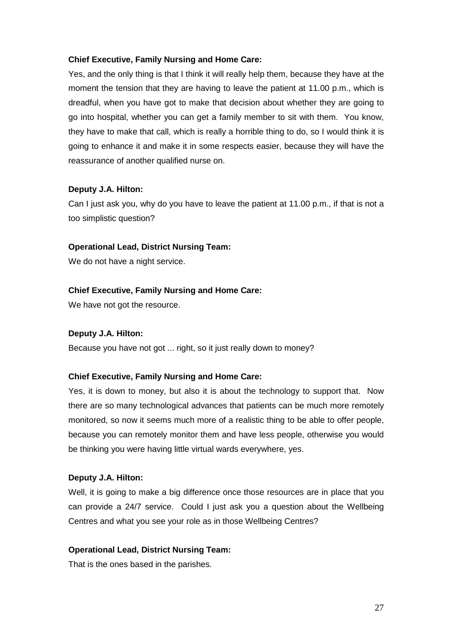## **Chief Executive, Family Nursing and Home Care:**

Yes, and the only thing is that I think it will really help them, because they have at the moment the tension that they are having to leave the patient at 11.00 p.m., which is dreadful, when you have got to make that decision about whether they are going to go into hospital, whether you can get a family member to sit with them. You know, they have to make that call, which is really a horrible thing to do, so I would think it is going to enhance it and make it in some respects easier, because they will have the reassurance of another qualified nurse on.

# **Deputy J.A. Hilton:**

Can I just ask you, why do you have to leave the patient at 11.00 p.m., if that is not a too simplistic question?

# **Operational Lead, District Nursing Team:**

We do not have a night service.

# **Chief Executive, Family Nursing and Home Care:**

We have not got the resource.

## **Deputy J.A. Hilton:**

Because you have not got ... right, so it just really down to money?

## **Chief Executive, Family Nursing and Home Care:**

Yes, it is down to money, but also it is about the technology to support that. Now there are so many technological advances that patients can be much more remotely monitored, so now it seems much more of a realistic thing to be able to offer people, because you can remotely monitor them and have less people, otherwise you would be thinking you were having little virtual wards everywhere, yes.

## **Deputy J.A. Hilton:**

Well, it is going to make a big difference once those resources are in place that you can provide a 24/7 service. Could I just ask you a question about the Wellbeing Centres and what you see your role as in those Wellbeing Centres?

## **Operational Lead, District Nursing Team:**

That is the ones based in the parishes.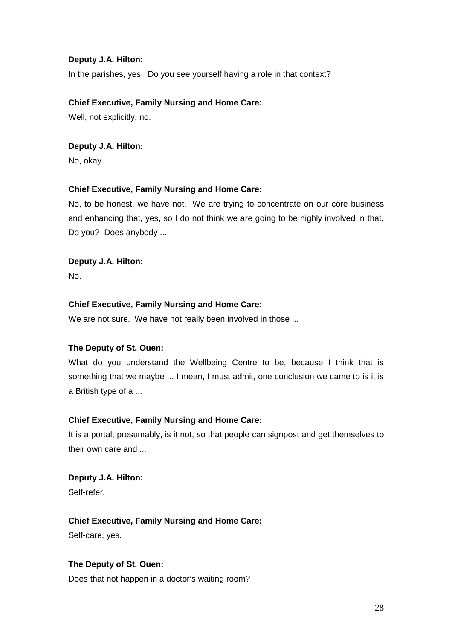## **Deputy J.A. Hilton:**

In the parishes, yes. Do you see yourself having a role in that context?

## **Chief Executive, Family Nursing and Home Care:**

Well, not explicitly, no.

# **Deputy J.A. Hilton:**

No, okay.

#### **Chief Executive, Family Nursing and Home Care:**

No, to be honest, we have not. We are trying to concentrate on our core business and enhancing that, yes, so I do not think we are going to be highly involved in that. Do you? Does anybody ...

# **Deputy J.A. Hilton:**

No.

## **Chief Executive, Family Nursing and Home Care:**

We are not sure. We have not really been involved in those ...

## **The Deputy of St. Ouen:**

What do you understand the Wellbeing Centre to be, because I think that is something that we maybe ... I mean, I must admit, one conclusion we came to is it is a British type of a ...

## **Chief Executive, Family Nursing and Home Care:**

It is a portal, presumably, is it not, so that people can signpost and get themselves to their own care and ...

## **Deputy J.A. Hilton:**

Self-refer.

# **Chief Executive, Family Nursing and Home Care:**

Self-care, yes.

## **The Deputy of St. Ouen:**

Does that not happen in a doctor's waiting room?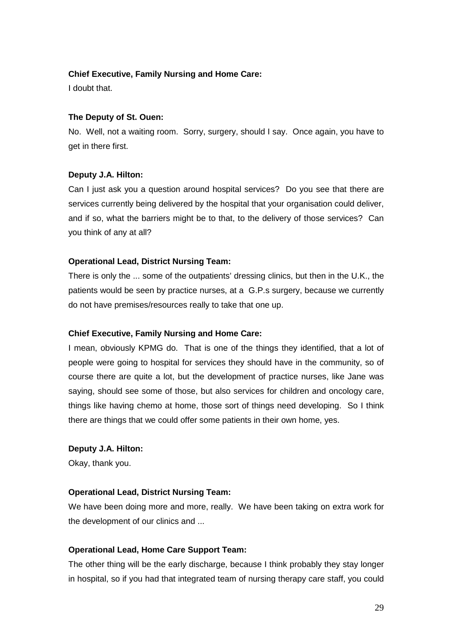## **Chief Executive, Family Nursing and Home Care:**

I doubt that.

## **The Deputy of St. Ouen:**

No. Well, not a waiting room. Sorry, surgery, should I say. Once again, you have to get in there first.

## **Deputy J.A. Hilton:**

Can I just ask you a question around hospital services? Do you see that there are services currently being delivered by the hospital that your organisation could deliver, and if so, what the barriers might be to that, to the delivery of those services? Can you think of any at all?

#### **Operational Lead, District Nursing Team:**

There is only the ... some of the outpatients' dressing clinics, but then in the U.K., the patients would be seen by practice nurses, at a G.P.s surgery, because we currently do not have premises/resources really to take that one up.

#### **Chief Executive, Family Nursing and Home Care:**

I mean, obviously KPMG do. That is one of the things they identified, that a lot of people were going to hospital for services they should have in the community, so of course there are quite a lot, but the development of practice nurses, like Jane was saying, should see some of those, but also services for children and oncology care, things like having chemo at home, those sort of things need developing. So I think there are things that we could offer some patients in their own home, yes.

#### **Deputy J.A. Hilton:**

Okay, thank you.

## **Operational Lead, District Nursing Team:**

We have been doing more and more, really. We have been taking on extra work for the development of our clinics and ...

## **Operational Lead, Home Care Support Team:**

The other thing will be the early discharge, because I think probably they stay longer in hospital, so if you had that integrated team of nursing therapy care staff, you could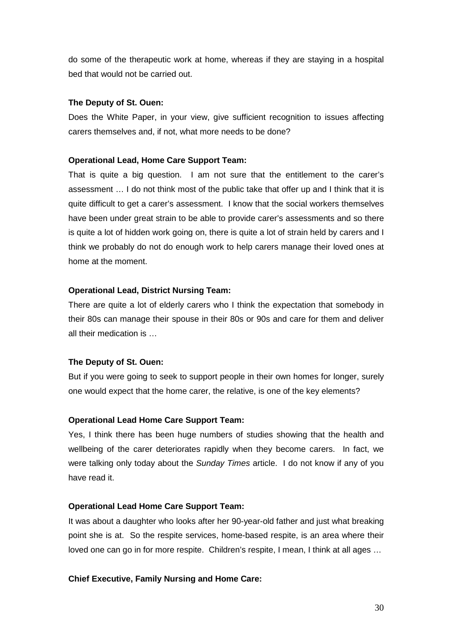do some of the therapeutic work at home, whereas if they are staying in a hospital bed that would not be carried out.

## **The Deputy of St. Ouen:**

Does the White Paper, in your view, give sufficient recognition to issues affecting carers themselves and, if not, what more needs to be done?

# **Operational Lead, Home Care Support Team:**

That is quite a big question. I am not sure that the entitlement to the carer's assessment … I do not think most of the public take that offer up and I think that it is quite difficult to get a carer's assessment. I know that the social workers themselves have been under great strain to be able to provide carer's assessments and so there is quite a lot of hidden work going on, there is quite a lot of strain held by carers and I think we probably do not do enough work to help carers manage their loved ones at home at the moment.

# **Operational Lead, District Nursing Team:**

There are quite a lot of elderly carers who I think the expectation that somebody in their 80s can manage their spouse in their 80s or 90s and care for them and deliver all their medication is …

# **The Deputy of St. Ouen:**

But if you were going to seek to support people in their own homes for longer, surely one would expect that the home carer, the relative, is one of the key elements?

# **Operational Lead Home Care Support Team:**

Yes, I think there has been huge numbers of studies showing that the health and wellbeing of the carer deteriorates rapidly when they become carers. In fact, we were talking only today about the Sunday Times article. I do not know if any of you have read it.

# **Operational Lead Home Care Support Team:**

It was about a daughter who looks after her 90-year-old father and just what breaking point she is at. So the respite services, home-based respite, is an area where their loved one can go in for more respite. Children's respite, I mean, I think at all ages …

# **Chief Executive, Family Nursing and Home Care:**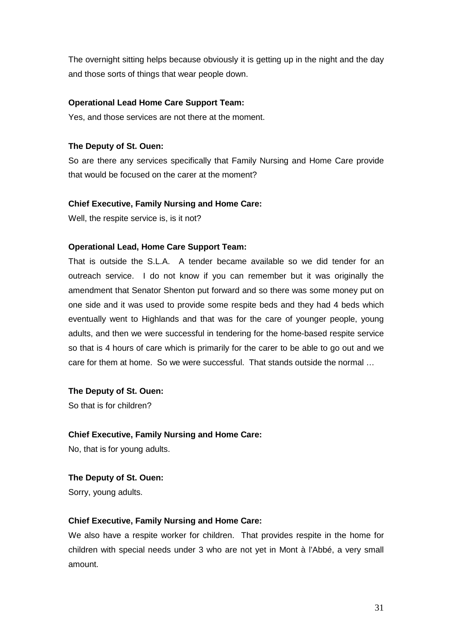The overnight sitting helps because obviously it is getting up in the night and the day and those sorts of things that wear people down.

## **Operational Lead Home Care Support Team:**

Yes, and those services are not there at the moment.

#### **The Deputy of St. Ouen:**

So are there any services specifically that Family Nursing and Home Care provide that would be focused on the carer at the moment?

#### **Chief Executive, Family Nursing and Home Care:**

Well, the respite service is, is it not?

#### **Operational Lead, Home Care Support Team:**

That is outside the S.L.A. A tender became available so we did tender for an outreach service. I do not know if you can remember but it was originally the amendment that Senator Shenton put forward and so there was some money put on one side and it was used to provide some respite beds and they had 4 beds which eventually went to Highlands and that was for the care of younger people, young adults, and then we were successful in tendering for the home-based respite service so that is 4 hours of care which is primarily for the carer to be able to go out and we care for them at home. So we were successful. That stands outside the normal …

#### **The Deputy of St. Ouen:**

So that is for children?

#### **Chief Executive, Family Nursing and Home Care:**

No, that is for young adults.

#### **The Deputy of St. Ouen:**

Sorry, young adults.

#### **Chief Executive, Family Nursing and Home Care:**

We also have a respite worker for children. That provides respite in the home for children with special needs under 3 who are not yet in Mont à l'Abbé, a very small amount.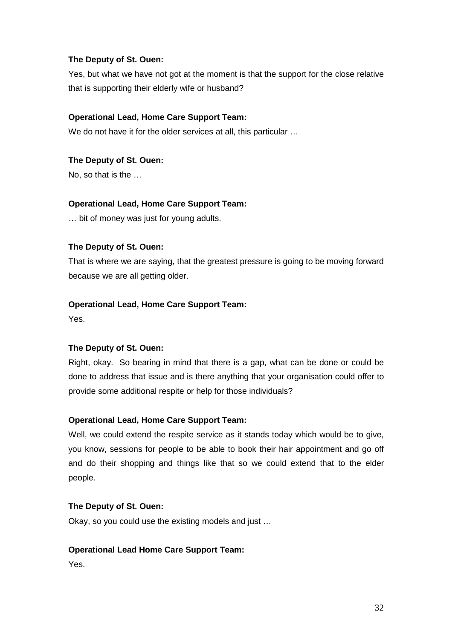## **The Deputy of St. Ouen:**

Yes, but what we have not got at the moment is that the support for the close relative that is supporting their elderly wife or husband?

# **Operational Lead, Home Care Support Team:**

We do not have it for the older services at all, this particular ...

# **The Deputy of St. Ouen:**

No, so that is the …

# **Operational Lead, Home Care Support Team:**

… bit of money was just for young adults.

# **The Deputy of St. Ouen:**

That is where we are saying, that the greatest pressure is going to be moving forward because we are all getting older.

# **Operational Lead, Home Care Support Team:**

Yes.

# **The Deputy of St. Ouen:**

Right, okay. So bearing in mind that there is a gap, what can be done or could be done to address that issue and is there anything that your organisation could offer to provide some additional respite or help for those individuals?

# **Operational Lead, Home Care Support Team:**

Well, we could extend the respite service as it stands today which would be to give, you know, sessions for people to be able to book their hair appointment and go off and do their shopping and things like that so we could extend that to the elder people.

## **The Deputy of St. Ouen:**

Okay, so you could use the existing models and just …

## **Operational Lead Home Care Support Team:**

Yes.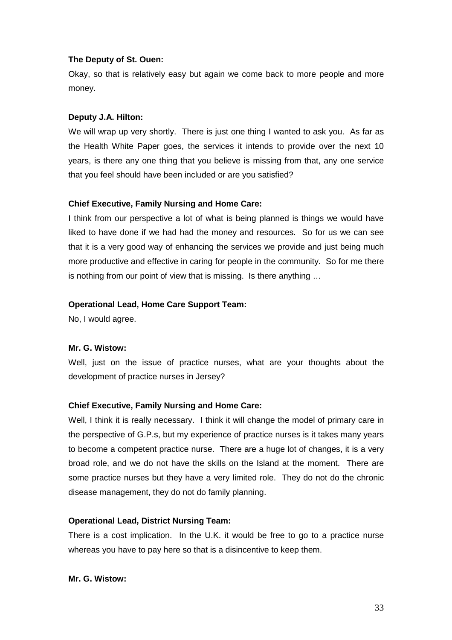#### **The Deputy of St. Ouen:**

Okay, so that is relatively easy but again we come back to more people and more money.

#### **Deputy J.A. Hilton:**

We will wrap up very shortly. There is just one thing I wanted to ask you. As far as the Health White Paper goes, the services it intends to provide over the next 10 years, is there any one thing that you believe is missing from that, any one service that you feel should have been included or are you satisfied?

#### **Chief Executive, Family Nursing and Home Care:**

I think from our perspective a lot of what is being planned is things we would have liked to have done if we had had the money and resources. So for us we can see that it is a very good way of enhancing the services we provide and just being much more productive and effective in caring for people in the community. So for me there is nothing from our point of view that is missing. Is there anything …

#### **Operational Lead, Home Care Support Team:**

No, I would agree.

#### **Mr. G. Wistow:**

Well, just on the issue of practice nurses, what are your thoughts about the development of practice nurses in Jersey?

## **Chief Executive, Family Nursing and Home Care:**

Well. I think it is really necessary. I think it will change the model of primary care in the perspective of G.P.s, but my experience of practice nurses is it takes many years to become a competent practice nurse. There are a huge lot of changes, it is a very broad role, and we do not have the skills on the Island at the moment. There are some practice nurses but they have a very limited role. They do not do the chronic disease management, they do not do family planning.

#### **Operational Lead, District Nursing Team:**

There is a cost implication. In the U.K. it would be free to go to a practice nurse whereas you have to pay here so that is a disincentive to keep them.

#### **Mr. G. Wistow:**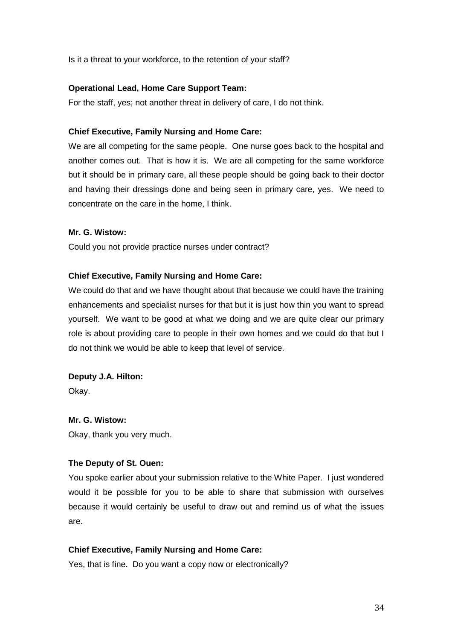Is it a threat to your workforce, to the retention of your staff?

## **Operational Lead, Home Care Support Team:**

For the staff, yes; not another threat in delivery of care, I do not think.

#### **Chief Executive, Family Nursing and Home Care:**

We are all competing for the same people. One nurse goes back to the hospital and another comes out. That is how it is. We are all competing for the same workforce but it should be in primary care, all these people should be going back to their doctor and having their dressings done and being seen in primary care, yes. We need to concentrate on the care in the home, I think.

## **Mr. G. Wistow:**

Could you not provide practice nurses under contract?

## **Chief Executive, Family Nursing and Home Care:**

We could do that and we have thought about that because we could have the training enhancements and specialist nurses for that but it is just how thin you want to spread yourself. We want to be good at what we doing and we are quite clear our primary role is about providing care to people in their own homes and we could do that but I do not think we would be able to keep that level of service.

## **Deputy J.A. Hilton:**

Okay.

## **Mr. G. Wistow:**

Okay, thank you very much.

#### **The Deputy of St. Ouen:**

You spoke earlier about your submission relative to the White Paper. I just wondered would it be possible for you to be able to share that submission with ourselves because it would certainly be useful to draw out and remind us of what the issues are.

#### **Chief Executive, Family Nursing and Home Care:**

Yes, that is fine. Do you want a copy now or electronically?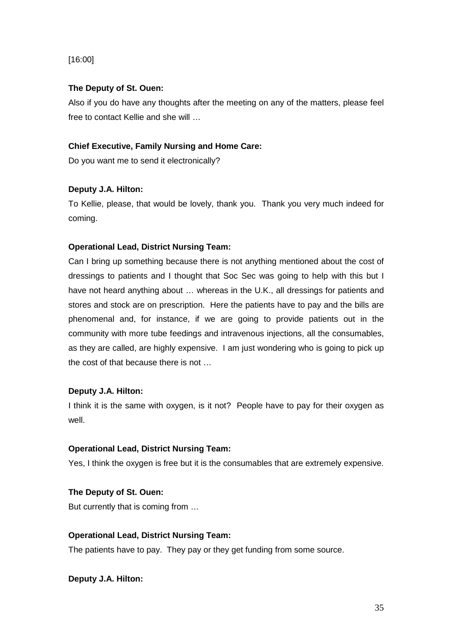# [16:00]

# **The Deputy of St. Ouen:**

Also if you do have any thoughts after the meeting on any of the matters, please feel free to contact Kellie and she will …

# **Chief Executive, Family Nursing and Home Care:**

Do you want me to send it electronically?

# **Deputy J.A. Hilton:**

To Kellie, please, that would be lovely, thank you. Thank you very much indeed for coming.

# **Operational Lead, District Nursing Team:**

Can I bring up something because there is not anything mentioned about the cost of dressings to patients and I thought that Soc Sec was going to help with this but I have not heard anything about … whereas in the U.K., all dressings for patients and stores and stock are on prescription. Here the patients have to pay and the bills are phenomenal and, for instance, if we are going to provide patients out in the community with more tube feedings and intravenous injections, all the consumables, as they are called, are highly expensive. I am just wondering who is going to pick up the cost of that because there is not …

## **Deputy J.A. Hilton:**

I think it is the same with oxygen, is it not? People have to pay for their oxygen as well.

## **Operational Lead, District Nursing Team:**

Yes, I think the oxygen is free but it is the consumables that are extremely expensive.

## **The Deputy of St. Ouen:**

But currently that is coming from …

## **Operational Lead, District Nursing Team:**

The patients have to pay. They pay or they get funding from some source.

**Deputy J.A. Hilton:**